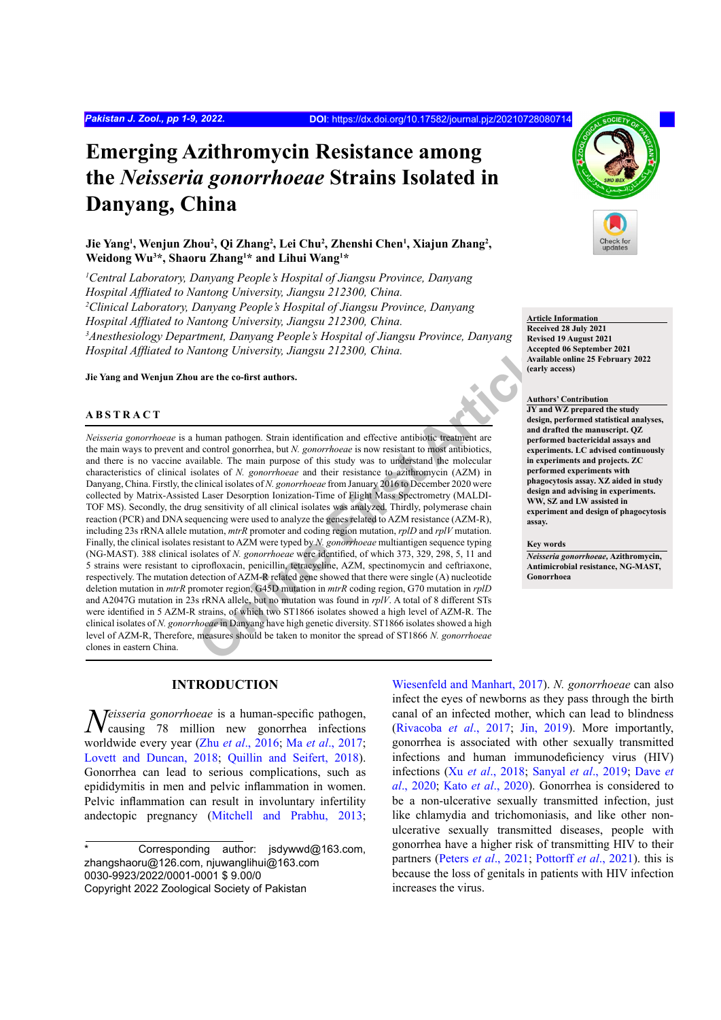# **Emerging Azithromycin Resistance among the** *Neisseria gonorrhoeae* **Strains Isolated in Danyang, China**

## Jie Yang<sup>1</sup>, Wenjun Zhou<sup>2</sup>, Qi Zhang<sup>2</sup>, Lei Chu<sup>2</sup>, Zhenshi Chen<sup>1</sup>, Xiajun Zhang<sup>2</sup>, **Weidong Wu3 \*, Shaoru Zhang1 \* and Lihui Wang1 \***

*1 Central Laboratory, Danyang People's Hospital of Jiangsu Province, Danyang Hospital Affliated to Nantong University, Jiangsu 212300, China. 2 Clinical Laboratory, Danyang People's Hospital of Jiangsu Province, Danyang Hospital Affliated to Nantong University, Jiangsu 212300, China. 3 Anesthesiology Department, Danyang People's Hospital of Jiangsu Province, Danyang Hospital Affliated to Nantong University, Jiangsu 212300, China.*

**Jie Yang and Wenjun Zhou are the co-first authors.**

#### **ABSTRACT**

**Examplementary and Solution Interaction and Solution** in a small and the speed are the co-first authors.<br> **Article**<br> **Articlearly a**<br> **Online article** are the co-first authors. The speed and dontrol gonorrhea, but *N. go Neisseria gonorrhoeae* is a human pathogen. Strain identification and effective antibiotic treatment are the main ways to prevent and control gonorrhea, but *N. gonorrhoeae* is now resistant to most antibiotics, and there is no vaccine available. The main purpose of this study was to understand the molecular characteristics of clinical isolates of *N. gonorrhoeae* and their resistance to azithromycin (AZM) in Danyang, China. Firstly, the clinical isolates of *N. gonorrhoeae* from January 2016 to December 2020 were collected by Matrix-Assisted Laser Desorption Ionization-Time of Flight Mass Spectrometry (MALDI-TOF MS). Secondly, the drug sensitivity of all clinical isolates was analyzed. Thirdly, polymerase chain reaction (PCR) and DNA sequencing were used to analyze the genes related to AZM resistance (AZM-R), including 23s rRNA allele mutation, *mtrR* promoter and coding region mutation, *rplD* and *rplV* mutation. Finally, the clinical isolates resistant to AZM were typed by *N. gonorrhoeae* multiantigen sequence typing (NG-MAST). 388 clinical isolates of *N. gonorrhoeae* were identified, of which 373, 329, 298, 5, 11 and 5 strains were resistant to ciprofloxacin, penicillin, tetracycline, AZM, spectinomycin and ceftriaxone, respectively. The mutation detection of AZM-R related gene showed that there were single (A) nucleotide deletion mutation in *mtrR* promoter region, G45D mutation in *mtrR* coding region, G70 mutation in *rplD* and A2047G mutation in 23s rRNA allele, but no mutation was found in *rplV*. A total of 8 different STs were identified in 5 AZM-R strains, of which two ST1866 isolates showed a high level of AZM-R. The clinical isolates of *N. gonorrhoeae* in Danyang have high genetic diversity. ST1866 isolates showed a high level of AZM-R, Therefore, measures should be taken to monitor the spread of ST1866 *N. gonorrhoeae* clones in eastern China.

## **INTRODUCTION**

*Neisseria gonorrhoeae* is a human-specific pathogen, causing 78 million new gonorrhea infections worldwide every year (Zhu *et al*., 2016; Ma *et al*., 2017; Lovett and Duncan, 2018; Quillin and Seifert, 2018). Gonorrhea can lead to serious complications, such as epididymitis in men and pelvic inflammation in women. Pelvic inflammation can result in involuntary infertility andectopic pregnancy (Mitchell and Prabhu, 2013;

Wiesenfeld and Manhart, 2017). *N. gonorrhoeae* can also infect the eyes of newborns as they pass through the birth canal of an infected mother, which can lead to blindness (Rivacoba *et al*., 2017; Jin, 2019). More importantly, gonorrhea is associated with other sexually transmitted infections and human immunodeficiency virus (HIV) infections (Xu *et al*., 2018; Sanyal *et al*., 2019; [Dave](#page-5-0) *et al*[., 2020](#page-5-0); Kato *et al*., 2020). Gonorrhea is considered to be a non-ulcerative sexually transmitted infection, just like chlamydia and trichomoniasis, and like other nonulcerative sexually transmitted diseases, people with gonorrhea have a higher risk of transmitting HIV to their partners (Peters *et al*., 2021; Pottorff *et al*., 2021). this is because the loss of genitals in patients with HIV infection increases the virus.



**Article Information Received 28 July 2021 Revised 19 August 2021 Accepted 06 September 2021 Available online 25 February 2022 (early access)**

### **Authors' Contribution**

**JY and WZ prepared the study design, performed statistical analyses, and drafted the manuscript. QZ performed bactericidal assays and experiments. LC advised continuously in experiments and projects. ZC performed experiments with phagocytosis assay. XZ aided in study design and advising in experiments. WW, SZ and LW assisted in experiment and design of phagocytosis assay.** 

#### **Key words**

*Neisseria gonorrhoeae,* **Azithromycin, Antimicrobial resistance, NG-MAST, Gonorrhoea**

Corresponding author: jsdywwd@163.com, zhangshaoru@126.com, njuwanglihui@163.com 0030-9923/2022/0001-0001 \$ 9.00/0 Copyright 2022 Zoological Society of Pakistan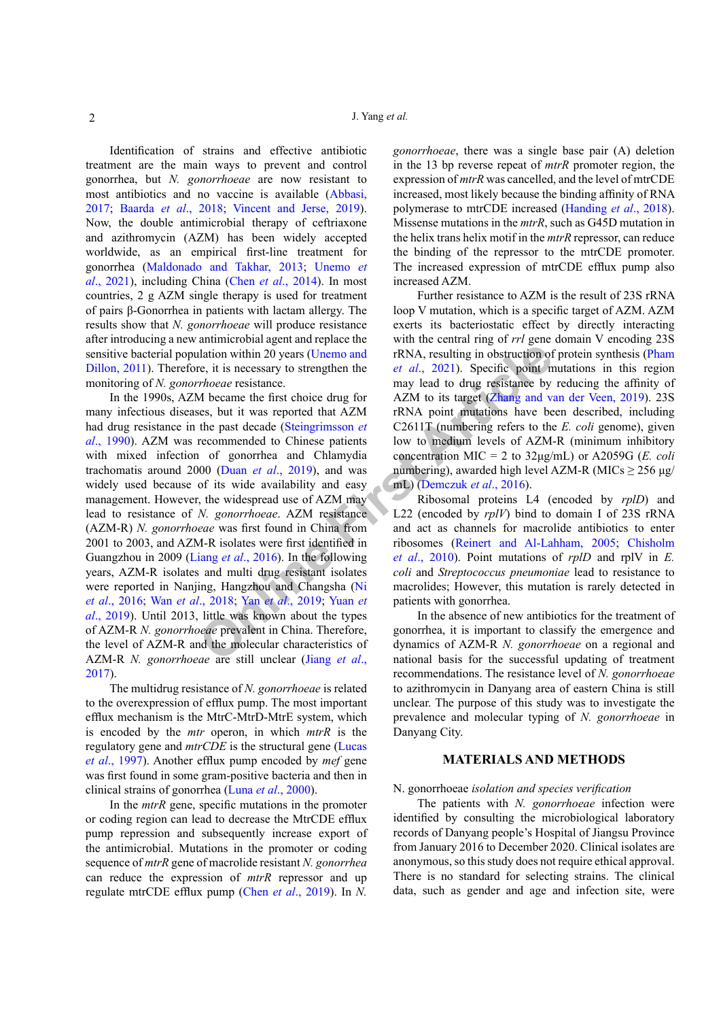Identification of strains and effective antibiotic treatment are the main ways to prevent and control gonorrhea, but *N. gonorrhoeae* are now resistant to most antibiotics and no vaccine is available [\(Abbasi,](#page-4-0) [2017](#page-4-0); Baarda *et al*[., 2018](#page-4-1); Vincent and Jerse, 2019). Now, the double antimicrobial therapy of ceftriaxone and azithromycin (AZM) has been widely accepted worldwide, as an empirical first-line treatment for gonorrhea (Maldonado and Takhar, 2013; Unemo *et al*., 2021), including China (Chen *et al*[., 2014\)](#page-5-1). In most countries, 2 g AZM single therapy is used for treatment of pairs β-Gonorrhea in patients with lactam allergy. The results show that *N. gonorrhoeae* will produce resistance after introducing a new antimicrobial agent and replace the sensitive bacterial population within 20 years (Unemo and Dillon, 2011). Therefore, it is necessary to strengthen the monitoring of *N. gonorrhoeae* resistance.

**EXECUTE THE ART SET ART SET AND THE ART SET AND THE SET AND HONDRET SIGNAL INTO NET AND HONDRET THOSE SET ART AND THE PART ART ART AND THE PART ART AND THE PART AND THE PART AND THE PART AND THE PART AND THE PART AND THE** In the 1990s, AZM became the first choice drug for many infectious diseases, but it was reported that AZM had drug resistance in the past decade (Steingrimsson *et al*., 1990). AZM was recommended to Chinese patients with mixed infection of gonorrhea and Chlamydia trachomatis around 2000 (Duan *et al*., 2019), and was widely used because of its wide availability and easy management. However, the widespread use of AZM may lead to resistance of *N. gonorrhoeae*. AZM resistance (AZM-R) *N. gonorrhoeae* was first found in China from 2001 to 2003, and AZM-R isolates were first identified in Guangzhou in 2009 (Liang *et al*., 2016). In the following years, AZM-R isolates and multi drug resistant isolates were reported in Nanjing, Hangzhou and Changsha (Ni *et al*., 2016; Wan *et al*., 2018; Yan *et al*., 2019; Yuan *et al*., 2019). Until 2013, little was known about the types of AZM-R *N. gonorrhoeae* prevalent in China. Therefore, the level of AZM-R and the molecular characteristics of AZM-R *N. gonorrhoeae* are still unclear (Jiang *et al*., [2017\)](#page-5-3).

The multidrug resistance of *N. gonorrhoeae* is related to the overexpression of efflux pump. The most important efflux mechanism is the MtrC-MtrD-MtrE system, which is encoded by the *mtr* operon, in which *mtrR* is the regulatory gene and *mtrCDE* is the structural gene (Lucas *et al*., 1997). Another efflux pump encoded by *mef* gene was first found in some gram-positive bacteria and then in clinical strains of gonorrhea (Luna *et al*., 2000).

In the *mtrR* gene, specific mutations in the promoter or coding region can lead to decrease the MtrCDE efflux pump repression and subsequently increase export of the antimicrobial. Mutations in the promoter or coding sequence of *mtrR* gene of macrolide resistant *N. gonorrhea* can reduce the expression of *mtrR* repressor and up regulate mtrCDE efflux pump (Chen *et al*., 2019). In *N.* 

*gonorrhoeae*, there was a single base pair (A) deletion in the 13 bp reverse repeat of *mtrR* promoter region, the expression of *mtrR* was cancelled, and the level of mtrCDE increased, most likely because the binding affinity of RNA polymerase to mtrCDE increased ([Handing](#page-5-4) *et al*., 2018). Missense mutations in the *mtrR*, such as G45D mutation in the helix trans helix motif in the *mtrR* repressor, can reduce the binding of the repressor to the mtrCDE promoter. The increased expression of mtrCDE efflux pump also increased AZM.

Further resistance to AZM is the result of 23S rRNA loop V mutation, which is a specific target of AZM. AZM exerts its bacteriostatic effect by directly interacting with the central ring of *rrl* gene domain V encoding 23S rRNA, resulting in obstruction of protein synthesis (Pham *et al*., 2021). Specific point mutations in this region may lead to drug resistance by reducing the affinity of AZM to its target (Zhang and van der Veen, 2019). 23S rRNA point mutations have been described, including C2611T (numbering refers to the *E. coli* genome), given low to medium levels of AZM-R (minimum inhibitory concentration MIC = 2 to 32μg/mL) or A2059G (*E. coli* numbering), awarded high level AZM-R (MICs  $\geq$  256 μg/ mL) (Demczuk *et al*., 2016).

Ribosomal proteins L4 (encoded by *rplD*) and L22 (encoded by *rplV*) bind to domain I of 23S rRNA and act as channels for macrolide antibiotics to enter ribosomes (Reinert and Al-Lahham, 2005; [Chisholm](#page-5-6) *et al*., 2010). Point mutations of *rplD* and rplV in *E. coli* and *Streptococcus pneumoniae* lead to resistance to macrolides; However, this mutation is rarely detected in patients with gonorrhea.

In the absence of new antibiotics for the treatment of gonorrhea, it is important to classify the emergence and dynamics of AZM-R *N. gonorrhoeae* on a regional and national basis for the successful updating of treatment recommendations. The resistance level of *N. gonorrhoeae* to azithromycin in Danyang area of eastern China is still unclear. The purpose of this study was to investigate the prevalence and molecular typing of *N. gonorrhoeae* in Danyang City.

#### **MATERIALS AND METHODS**

#### N. gonorrhoeae *isolation and species verification*

The patients with *N. gonorrhoeae* infection were identified by consulting the microbiological laboratory records of Danyang people's Hospital of Jiangsu Province from January 2016 to December 2020. Clinical isolates are anonymous, so this study does not require ethical approval. There is no standard for selecting strains. The clinical data, such as gender and age and infection site, were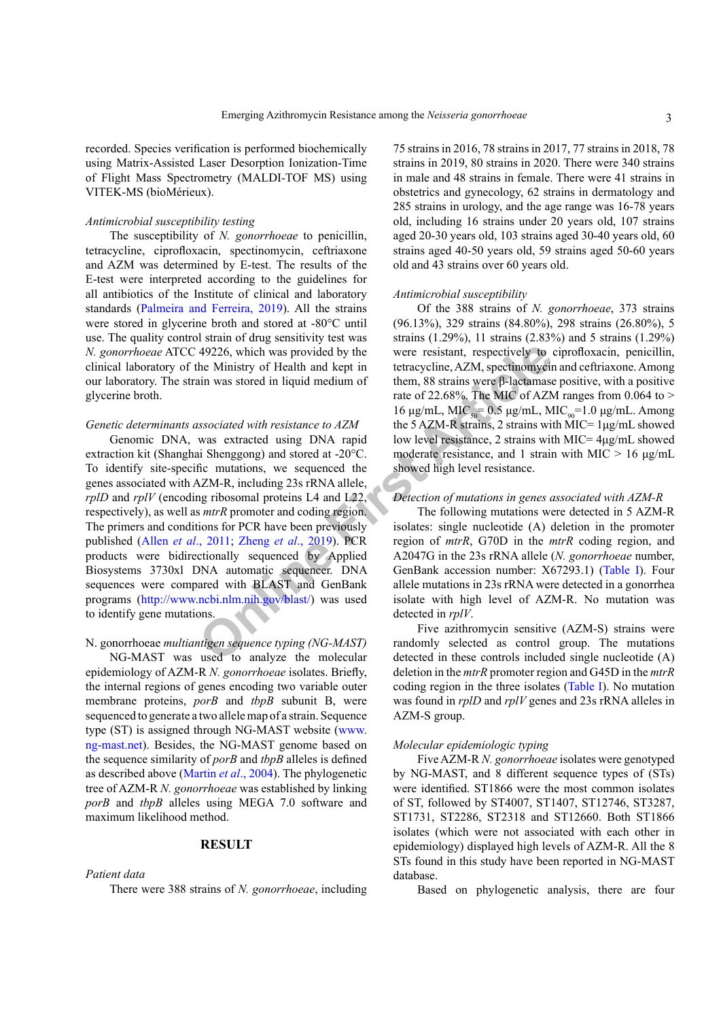recorded. Species verification is performed biochemically using Matrix-Assisted Laser Desorption Ionization-Time of Flight Mass Spectrometry (MALDI-TOF MS) using VITEK-MS (bioMérieux).

#### *Antimicrobial susceptibility testing*

The susceptibility of *N. gonorrhoeae* to penicillin, tetracycline, ciprofloxacin, spectinomycin, ceftriaxone and AZM was determined by E-test. The results of the E-test were interpreted according to the guidelines for all antibiotics of the Institute of clinical and laboratory standards (Palmeira and Ferreira, 2019). All the strains were stored in glycerine broth and stored at -80°C until use. The quality control strain of drug sensitivity test was *N. gonorrhoeae* ATCC 49226, which was provided by the clinical laboratory of the Ministry of Health and kept in our laboratory. The strain was stored in liquid medium of glycerine broth.

#### *Genetic determinants associated with resistance to AZM*

49226, which was provided by the<br>
the Ministry of Health and kept in<br>
the ministry of Health and kept in<br>
the m, 88 strains were B-lactamass<br>
rate of 22.68%. The MIC of AZM<br>
16  $\mu g/mL$ , MIC<sub>8</sub>= 0.5  $\mu g/mL$ , MIC<br>
16  $\mu g/mL$ Genomic DNA, was extracted using DNA rapid extraction kit (Shanghai Shenggong) and stored at -20°C. To identify site-specific mutations, we sequenced the genes associated with AZM-R, including 23s rRNA allele, *rplD* and *rplV* (encoding ribosomal proteins L4 and L22, respectively), as well as *mtrR* promoter and coding region. The primers and conditions for PCR have been previously published (Allen *et al*., 2011; Zheng *et al*., 2019). PCR products were bidirectionally sequenced by Applied Biosystems 3730xl DNA automatic sequencer. DNA sequences were compared with BLAST and GenBank programs (<http://www.ncbi.nlm.nih.gov/blast/>) was used to identify gene mutations.

## N. gonorrhoeae *multiantigen sequence typing (NG-MAST)*

NG-MAST was used to analyze the molecular epidemiology of AZM-R *N. gonorrhoeae* isolates. Briefly, the internal regions of genes encoding two variable outer membrane proteins, *porB* and *tbpB* subunit B, were sequenced to generate a two allele map of a strain. Sequence type (ST) is assigned through NG-MAST website ([www.](www.ng-mast.net) [ng-mast.net\)](www.ng-mast.net). Besides, the NG-MAST genome based on the sequence similarity of *porB* and *tbpB* alleles is defined as described above (Martin *et al*., 2004). The phylogenetic tree of AZM-R *N. gonorrhoeae* was established by linking *porB* and *tbpB* alleles using MEGA 7.0 software and maximum likelihood method.

### **RESULT**

#### *Patient data*

There were 388 strains of *N. gonorrhoeae*, including

75 strains in 2016, 78 strains in 2017, 77 strains in 2018, 78 strains in 2019, 80 strains in 2020. There were 340 strains in male and 48 strains in female. There were 41 strains in obstetrics and gynecology, 62 strains in dermatology and 285 strains in urology, and the age range was 16-78 years old, including 16 strains under 20 years old, 107 strains aged 20-30 years old, 103 strains aged 30-40 years old, 60 strains aged 40-50 years old, 59 strains aged 50-60 years old and 43 strains over 60 years old.

#### *Antimicrobial susceptibility*

Of the 388 strains of *N. gonorrhoeae*, 373 strains (96.13%), 329 strains (84.80%), 298 strains (26.80%), 5 strains (1.29%), 11 strains (2.83%) and 5 strains (1.29%) were resistant, respectively to ciprofloxacin, penicillin, tetracycline, AZM, spectinomycin and ceftriaxone. Among them, 88 strains were β-lactamase positive, with a positive rate of 22.68%. The MIC of AZM ranges from  $0.064$  to > 16 μg/mL, MIC<sub>50</sub>= 0.5 μg/mL, MIC<sub>90</sub>=1.0 μg/mL. Among the 5 AZM-R strains, 2 strains with MIC=  $1\mu$ g/mL showed low level resistance, 2 strains with MIC= 4μg/mL showed moderate resistance, and 1 strain with MIC  $> 16 \mu g/mL$ showed high level resistance.

#### *Detection of mutations in genes associated with AZM-R*

The following mutations were detected in 5 AZM-R isolates: single nucleotide (A) deletion in the promoter region of *mtrR*, G70D in the *mtrR* coding region, and A2047G in the 23s rRNA allele (*N. gonorrhoeae* number, GenBank accession number: X67293.1) (Table I). Four allele mutations in 23s rRNA were detected in a gonorrhea isolate with high level of AZM-R. No mutation was detected in *rplV*.

Five azithromycin sensitive (AZM-S) strains were randomly selected as control group. The mutations detected in these controls included single nucleotide (A) deletion in the *mtrR* promoter region and G45D in the *mtrR* coding region in the three isolates (Table I). No mutation was found in *rplD* and *rplV* genes and 23s rRNA alleles in AZM-S group.

## *Molecular epidemiologic typing*

Five AZM-R *N. gonorrhoeae* isolates were genotyped by NG-MAST, and 8 different sequence types of (STs) were identified. ST1866 were the most common isolates of ST, followed by ST4007, ST1407, ST12746, ST3287, ST1731, ST2286, ST2318 and ST12660. Both ST1866 isolates (which were not associated with each other in epidemiology) displayed high levels of AZM-R. All the 8 STs found in this study have been reported in NG-MAST database.

Based on phylogenetic analysis, there are four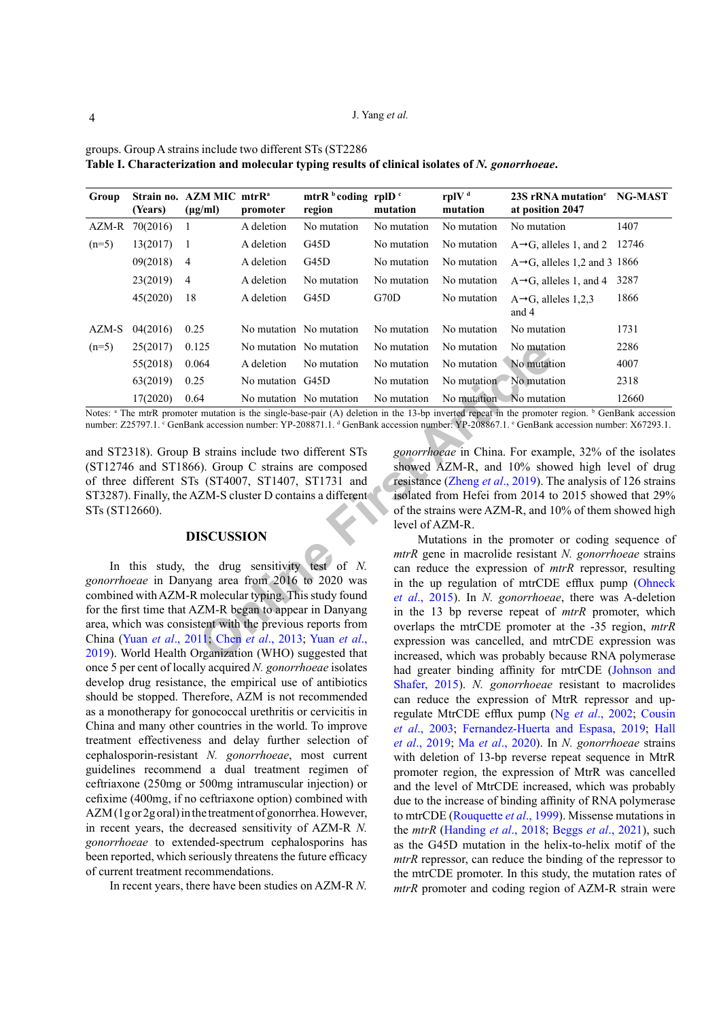| Group                                                                                                                                                                                                                                                                                                                                                                                                           | (Years)        | Strain no. AZM MIC mtrR <sup>a</sup><br>$(\mu g/ml)$ | promoter         | mtrR $\frac{b}{c}$ coding rplD $\frac{c}{c}$<br>region                                                       | mutation    | rplV <sup>d</sup><br>mutation                                                                                                                                                                                                                                                                                                                                                                               | 23S rRNA mutation <sup>e</sup> NG-MAST<br>at position 2047                                                                                                                                                                                                                                                                                                                                                                                   |       |  |
|-----------------------------------------------------------------------------------------------------------------------------------------------------------------------------------------------------------------------------------------------------------------------------------------------------------------------------------------------------------------------------------------------------------------|----------------|------------------------------------------------------|------------------|--------------------------------------------------------------------------------------------------------------|-------------|-------------------------------------------------------------------------------------------------------------------------------------------------------------------------------------------------------------------------------------------------------------------------------------------------------------------------------------------------------------------------------------------------------------|----------------------------------------------------------------------------------------------------------------------------------------------------------------------------------------------------------------------------------------------------------------------------------------------------------------------------------------------------------------------------------------------------------------------------------------------|-------|--|
|                                                                                                                                                                                                                                                                                                                                                                                                                 | AZM-R 70(2016) | 1                                                    | A deletion       | No mutation                                                                                                  | No mutation | No mutation                                                                                                                                                                                                                                                                                                                                                                                                 | No mutation                                                                                                                                                                                                                                                                                                                                                                                                                                  | 1407  |  |
| $(n=5)$                                                                                                                                                                                                                                                                                                                                                                                                         | 13(2017)       |                                                      | A deletion       | G45D                                                                                                         | No mutation | No mutation                                                                                                                                                                                                                                                                                                                                                                                                 | $A \rightarrow G$ , alleles 1, and 2                                                                                                                                                                                                                                                                                                                                                                                                         | 12746 |  |
|                                                                                                                                                                                                                                                                                                                                                                                                                 | 09(2018)       | 4                                                    | A deletion       | G45D                                                                                                         | No mutation | No mutation                                                                                                                                                                                                                                                                                                                                                                                                 | $A \rightarrow G$ , alleles 1,2 and 3 1866                                                                                                                                                                                                                                                                                                                                                                                                   |       |  |
|                                                                                                                                                                                                                                                                                                                                                                                                                 | 23(2019)       | $\overline{4}$                                       | A deletion       | No mutation                                                                                                  | No mutation | No mutation                                                                                                                                                                                                                                                                                                                                                                                                 | $A \rightarrow G$ , alleles 1, and 4                                                                                                                                                                                                                                                                                                                                                                                                         | 3287  |  |
|                                                                                                                                                                                                                                                                                                                                                                                                                 | 45(2020)       | 18                                                   | A deletion       | G45D                                                                                                         | G70D        | No mutation                                                                                                                                                                                                                                                                                                                                                                                                 | $A \rightarrow G$ , alleles 1,2,3<br>and 4                                                                                                                                                                                                                                                                                                                                                                                                   | 1866  |  |
| AZM-S                                                                                                                                                                                                                                                                                                                                                                                                           | 04(2016)       | 0.25                                                 |                  | No mutation No mutation                                                                                      | No mutation | No mutation                                                                                                                                                                                                                                                                                                                                                                                                 | No mutation                                                                                                                                                                                                                                                                                                                                                                                                                                  | 1731  |  |
| $(n=5)$                                                                                                                                                                                                                                                                                                                                                                                                         | 25(2017)       | 0.125                                                |                  | No mutation No mutation                                                                                      | No mutation | No mutation                                                                                                                                                                                                                                                                                                                                                                                                 | No mutation                                                                                                                                                                                                                                                                                                                                                                                                                                  | 2286  |  |
|                                                                                                                                                                                                                                                                                                                                                                                                                 | 55(2018)       | 0.064                                                | A deletion       | No mutation                                                                                                  | No mutation | No mutation                                                                                                                                                                                                                                                                                                                                                                                                 | No mutation                                                                                                                                                                                                                                                                                                                                                                                                                                  | 4007  |  |
|                                                                                                                                                                                                                                                                                                                                                                                                                 | 63(2019)       | 0.25                                                 | No mutation G45D |                                                                                                              | No mutation | No mutation No mutation                                                                                                                                                                                                                                                                                                                                                                                     |                                                                                                                                                                                                                                                                                                                                                                                                                                              | 2318  |  |
|                                                                                                                                                                                                                                                                                                                                                                                                                 | 17(2020)       | 0.64                                                 |                  | No mutation No mutation                                                                                      | No mutation | No mutation No mutation                                                                                                                                                                                                                                                                                                                                                                                     |                                                                                                                                                                                                                                                                                                                                                                                                                                              | 12660 |  |
|                                                                                                                                                                                                                                                                                                                                                                                                                 |                |                                                      |                  | and ST2318). Group B strains include two different STs<br>(ST12746 and ST1866). Group C strains are composed |             |                                                                                                                                                                                                                                                                                                                                                                                                             | Notes: <sup>a</sup> The mtrR promoter mutation is the single-base-pair (A) deletion in the 13-bp inverted repeat in the promoter region. <sup>b</sup> GenBank accession<br>number: Z25797.1. ° GenBank accession number: YP-208871.1. <sup>d</sup> GenBank accession number: YP-208867.1. ° GenBank accession number: X67293.1.<br>gonorrhoeae in China. For example, 32% of the isolates<br>showed AZM-R, and 10% showed high level of drug |       |  |
|                                                                                                                                                                                                                                                                                                                                                                                                                 |                |                                                      |                  | of three different STs (ST4007, ST1407, ST1731 and                                                           |             |                                                                                                                                                                                                                                                                                                                                                                                                             | resistance (Zheng et al., 2019). The analysis of 126 strains                                                                                                                                                                                                                                                                                                                                                                                 |       |  |
| ST3287). Finally, the AZM-S cluster D contains a different<br>STs (ST12660).                                                                                                                                                                                                                                                                                                                                    |                |                                                      |                  |                                                                                                              |             | isolated from Hefei from 2014 to 2015 showed that 29%<br>of the strains were AZM-R, and 10% of them showed high<br>level of AZM-R.                                                                                                                                                                                                                                                                          |                                                                                                                                                                                                                                                                                                                                                                                                                                              |       |  |
| <b>DISCUSSION</b>                                                                                                                                                                                                                                                                                                                                                                                               |                |                                                      |                  |                                                                                                              |             | Mutations in the promoter or coding sequence of<br>mtrR gene in macrolide resistant N. gonorrhoeae strains                                                                                                                                                                                                                                                                                                  |                                                                                                                                                                                                                                                                                                                                                                                                                                              |       |  |
| In this study, the drug sensitivity test of $N$ .<br>gonorrhoeae in Danyang area from 2016 to 2020 was<br>combined with AZM-R molecular typing. This study found<br>for the first time that AZM-R began to appear in Danyang<br>area, which was consistent with the previous reports from<br>China (Yuan et al., 2011; Chen et al., 2013; Yuan et al.,<br>2019). World Health Organization (WHO) suggested that |                |                                                      |                  |                                                                                                              |             | can reduce the expression of <i>mtrR</i> repressor, resulting<br>in the up regulation of mtrCDE efflux pump (Ohneck<br>et al., 2015). In N. gonorrhoeae, there was A-deletion<br>in the 13 bp reverse repeat of mtrR promoter, which<br>overlaps the mtrCDE promoter at the -35 region, mtrk<br>expression was cancelled, and mtrCDE expression was<br>increased, which was probably because RNA polymerase |                                                                                                                                                                                                                                                                                                                                                                                                                                              |       |  |

groups. Group A strains include two different STs (ST2286 **Table I. Characterization and molecular typing results of clinical isolates of** *N. gonorrhoeae***.**

#### **DISCUSSION**

In this study, the drug sensitivity test of *N. gonorrhoeae* in Danyang area from 2016 to 2020 was combined with AZM-R molecular typing. This study found for the first time that AZM-R began to appear in Danyang area, which was consistent with the previous reports from China (Yuan *et al*., 2011; Chen *et al*., 2013; Yuan *et al*., 2019). World Health Organization (WHO) suggested that once 5 per cent of locally acquired *N. gonorrhoeae* isolates develop drug resistance, the empirical use of antibiotics should be stopped. Therefore, AZM is not recommended as a monotherapy for gonococcal urethritis or cervicitis in China and many other countries in the world. To improve treatment effectiveness and delay further selection of cephalosporin-resistant *N. gonorrhoeae*, most current guidelines recommend a dual treatment regimen of ceftriaxone (250mg or 500mg intramuscular injection) or cefixime (400mg, if no ceftriaxone option) combined with AZM (1g or 2g oral) in the treatment of gonorrhea. However, in recent years, the decreased sensitivity of AZM-R *N. gonorrhoeae* to extended-spectrum cephalosporins has been reported, which seriously threatens the future efficacy of current treatment recommendations.

In recent years, there have been studies on AZM-R *N.* 

Mutations in the promoter or coding sequence of *mtrR* gene in macrolide resistant *N. gonorrhoeae* strains can reduce the expression of *mtrR* repressor, resulting in the up regulation of mtrCDE efflux pump (Ohneck *et al*., 2015). In *N. gonorrhoeae*, there was A-deletion in the 13 bp reverse repeat of *mtrR* promoter, which overlaps the mtrCDE promoter at the -35 region, *mtrR* expression was cancelled, and mtrCDE expression was increased, which was probably because RNA polymerase had greater binding affinity for mtrCDE (Johnson and Shafer, 2015). *N. gonorrhoeae* resistant to macrolides can reduce the expression of MtrR repressor and upregulate MtrCDE efflux pump (Ng *et al*., 2002; [Cousin](#page-5-8)  *et al*[., 2003](#page-5-8); [Fernandez-Huerta and Espasa, 2019](#page-5-9); [Hall](#page-5-10)  *et al*[., 2019](#page-5-10); Ma *et al*., 2020). In *N. gonorrhoeae* strains with deletion of 13-bp reverse repeat sequence in MtrR promoter region, the expression of MtrR was cancelled and the level of MtrCDE increased, which was probably due to the increase of binding affinity of RNA polymerase to mtrCDE (Rouquette *et al*., 1999). Missense mutations in the *mtrR* ([Handing](#page-5-4) *et al*., 2018; Beggs *et al*[., 2021\)](#page-4-3), such as the G45D mutation in the helix-to-helix motif of the *mtrR* repressor, can reduce the binding of the repressor to the mtrCDE promoter. In this study, the mutation rates of *mtrR* promoter and coding region of AZM-R strain were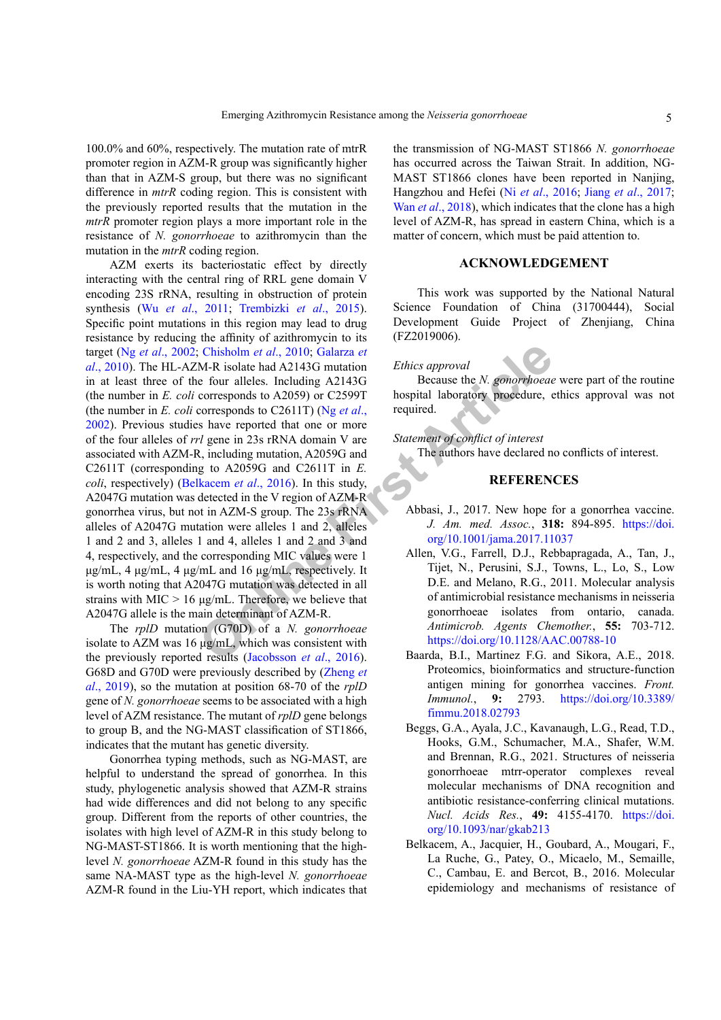100.0% and 60%, respectively. The mutation rate of mtrR promoter region in AZM-R group was significantly higher than that in AZM-S group, but there was no significant difference in *mtrR* coding region. This is consistent with the previously reported results that the mutation in the *mtrR* promoter region plays a more important role in the resistance of *N. gonorrhoeae* to azithromycin than the mutation in the *mtrR* coding region.

Chisholm et al., 2010; Galarza et<br>
M-R isolate had A2143G mutation<br>
for allelse. Including A2143G<br>
corresponds to A2059) or C25991 hospital laboratory procedure, corresponds to A20590 or C25997 hospital laboratory procedu AZM exerts its bacteriostatic effect by directly interacting with the central ring of RRL gene domain V encoding 23S rRNA, resulting in obstruction of protein synthesis (Wu *et al*., 2011; Trembizki *et al*., 2015). Specific point mutations in this region may lead to drug resistance by reducing the affinity of azithromycin to its target (Ng *et al*., 2002; Chisholm *et al*., 2010; Galarza *et al*[., 2010](#page-5-11)). The HL-AZM-R isolate had A2143G mutation in at least three of the four alleles. Including A2143G (the number in *E. coli* corresponds to A2059) or C2599T (the number in *E. coli* corresponds to C2611T) (Ng *et al*., 2002). Previous studies have reported that one or more of the four alleles of *rrl* gene in 23s rRNA domain V are associated with AZM-R, including mutation, A2059G and C2611T (corresponding to A2059G and C2611T in *E. coli*, respectively) (Belkacem *et al*., 2016). In this study, A2047G mutation was detected in the V region of AZM-R gonorrhea virus, but not in AZM-S group. The 23s rRNA alleles of A2047G mutation were alleles 1 and 2, alleles 1 and 2 and 3, alleles 1 and 4, alleles 1 and 2 and 3 and 4, respectively, and the corresponding MIC values were 1 μg/mL, 4 μg/mL, 4 μg/mL and 16 μg/mL, respectively. It is worth noting that A2047G mutation was detected in all strains with  $MIC > 16 \mu g/mL$ . Therefore, we believe that A2047G allele is the main determinant of AZM-R.

The *rplD* mutation (G70D) of a *N. gonorrhoeae* isolate to AZM was 16 μg/mL, which was consistent with the previously reported results (Jacobsson *et al*., 2016). G68D and G70D were previously described by (Zheng *et al*., 2019), so the mutation at position 68-70 of the *rplD* gene of *N. gonorrhoeae* seems to be associated with a high level of AZM resistance. The mutant of *rplD* gene belongs to group B, and the NG-MAST classification of ST1866, indicates that the mutant has genetic diversity.

Gonorrhea typing methods, such as NG-MAST, are helpful to understand the spread of gonorrhea. In this study, phylogenetic analysis showed that AZM-R strains had wide differences and did not belong to any specific group. Different from the reports of other countries, the isolates with high level of AZM-R in this study belong to NG-MAST-ST1866. It is worth mentioning that the highlevel *N. gonorrhoeae* AZM-R found in this study has the same NA-MAST type as the high-level *N. gonorrhoeae* AZM-R found in the Liu-YH report, which indicates that

the transmission of NG-MAST ST1866 *N. gonorrhoeae* has occurred across the Taiwan Strait. In addition, NG-MAST ST1866 clones have been reported in Nanjing, Hangzhou and Hefei (Ni *et al*., 2016; Jiang *et al*[., 2017](#page-5-3); Wan *et al.*, 2018), which indicates that the clone has a high level of AZM-R, has spread in eastern China, which is a matter of concern, which must be paid attention to.

## **ACKNOWLEDGEMENT**

This work was supported by the National Natural Science Foundation of China (31700444), Social Development Guide Project of Zhenjiang, China (FZ2019006).

#### *Ethics approval*

Because the *N. gonorrhoeae* were part of the routine hospital laboratory procedure, ethics approval was not required.

#### *Statement of conflict of interest*

The authors have declared no conflicts of interest.

#### **REFERENCES**

- <span id="page-4-0"></span>Abbasi, J., 2017. New hope for a gonorrhea vaccine. *J. Am. med. Assoc.*, **318:** 894-895. [https://doi.](https://doi.org/10.1001/jama.2017.11037) org/10.1001/jama.2017.11037
- <span id="page-4-2"></span>Allen, V.G., Farrell, D.J., Rebbapragada, A., Tan, J., Tijet, N., Perusini, S.J., Towns, L., Lo, S., Low D.E. and Melano, R.G., 2011. Molecular analysis of antimicrobial resistance mechanisms in neisseria gonorrhoeae isolates from ontario, canada. *Antimicrob. Agents Chemother.*, **55:** 703-712. <https://doi.org/10.1128/AAC.00788-10>
- <span id="page-4-1"></span>Baarda, B.I., Martinez F.G. and Sikora, A.E., 2018. Proteomics, bioinformatics and structure-function antigen mining for gonorrhea vaccines. *Front. Immunol.*, **9:** 2793. [https://doi.org/10.3389/](https://doi.org/10.3389/fimmu.2018.02793) [fimmu.2018.02793](https://doi.org/10.3389/fimmu.2018.02793)
- <span id="page-4-3"></span>Beggs, G.A., Ayala, J.C., Kavanaugh, L.G., Read, T.D., Hooks, G.M., Schumacher, M.A., Shafer, W.M. and Brennan, R.G., 2021. Structures of neisseria gonorrhoeae mtrr-operator complexes reveal molecular mechanisms of DNA recognition and antibiotic resistance-conferring clinical mutations. *Nucl. Acids Res.*, **49:** 4155-4170. [https://doi.](https://doi.org/10.1093/nar/gkab213) [org/10.1093/nar/gkab213](https://doi.org/10.1093/nar/gkab213)
- <span id="page-4-4"></span>Belkacem, A., Jacquier, H., Goubard, A., Mougari, F., La Ruche, G., Patey, O., Micaelo, M., Semaille, C., Cambau, E. and Bercot, B., 2016. Molecular epidemiology and mechanisms of resistance of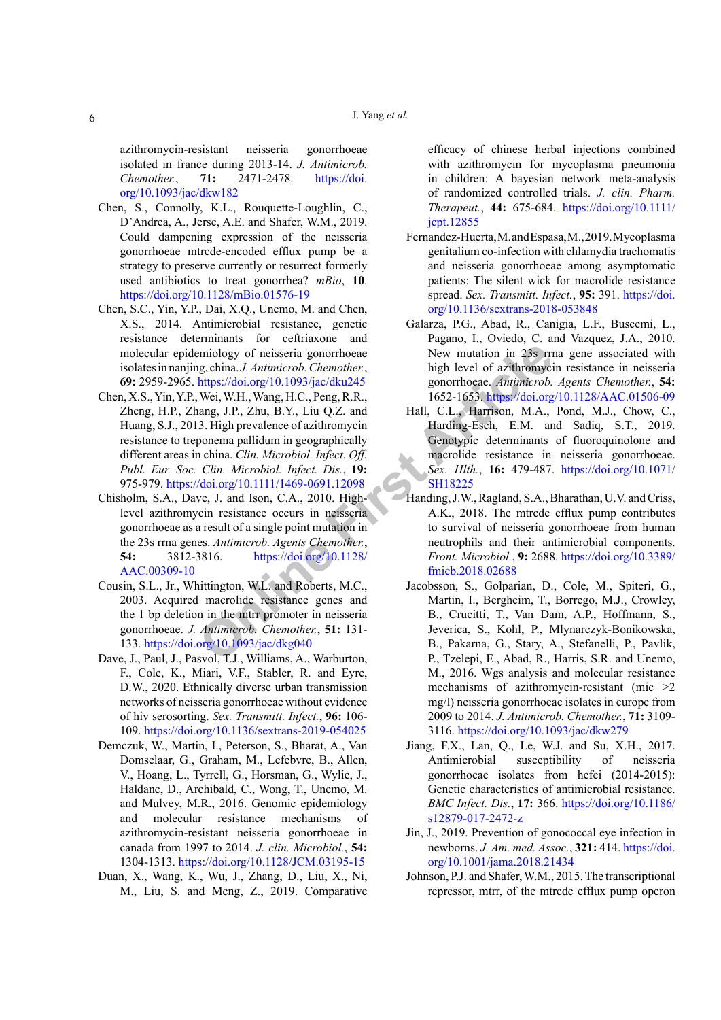azithromycin-resistant neisseria gonorrhoeae isolated in france during 2013-14. *J. Antimicrob. Chemother.*, **71:** 2471-2478. [https://doi.](https://doi.org/10.1093/jac/dkw182) [org/10.1093/jac/dkw182](https://doi.org/10.1093/jac/dkw182)

- Chen, S., Connolly, K.L., Rouquette-Loughlin, C., D'Andrea, A., Jerse, A.E. and Shafer, W.M., 2019. Could dampening expression of the neisseria gonorrhoeae mtrcde-encoded efflux pump be a strategy to preserve currently or resurrect formerly used antibiotics to treat gonorrhea? *mBio*, **10**. <https://doi.org/10.1128/mBio.01576-19>
- <span id="page-5-1"></span>Chen, S.C., Yin, Y.P., Dai, X.Q., Unemo, M. and Chen, X.S., 2014. Antimicrobial resistance, genetic resistance determinants for ceftriaxone and molecular epidemiology of neisseria gonorrhoeae isolates in nanjing, china. *J. Antimicrob. Chemother.*, **69:** 2959-2965. https://doi.org/10.1093/jac/dku245
- <span id="page-5-7"></span>miology of neisseria gonorrhoeae<br> **Proper[t](https://doi.org/10.1071/SH18225)ical Changes** (New mutation in 238 rm<br> **Propertical Artimicrob.** Chemother, the ign level of azithromyci<br>
Articless/Adoi.org/10.1093/jac/dku245 gonorrhoeae. Antimicrob.<br>
Nei, W.H., Chen, X.S., Yin, Y.P., Wei, W.H., Wang, H.C., Peng, R.R., Zheng, H.P., Zhang, J.P., Zhu, B.Y., Liu Q.Z. and Huang, S.J., 2013. High prevalence of azithromycin resistance to treponema pallidum in geographically different areas in china. *Clin. Microbiol. Infect. Off. Publ. Eur. Soc. Clin. Microbiol. Infect. Dis.*, **19:**  975-979. https://doi.org/10.1111/1469-0691.12098
- <span id="page-5-6"></span>Chisholm, S.A., Dave, J. and Ison, C.A., 2010. Highlevel azithromycin resistance occurs in neisseria gonorrhoeae as a result of a single point mutation in the 23s rrna genes. *Antimicrob. Agents Chemother.*, **54:** 3812-3816. https://doi.org/10.1128/ [AAC.00309-10](https://doi.org/10.1128/AAC.00309-10)
- <span id="page-5-8"></span>Cousin, S.L., Jr., Whittington, W.L. and Roberts, M.C., 2003. Acquired macrolide resistance genes and the 1 bp deletion in the mtrr promoter in neisseria gonorrhoeae. *J. Antimicrob. Chemother.*, **51:** 131- 133.<https://doi.org/10.1093/jac/dkg040>
- <span id="page-5-0"></span>Dave, J., Paul, J., Pasvol, T.J., Williams, A., Warburton, F., Cole, K., Miari, V.F., Stabler, R. and Eyre, D.W., 2020. Ethnically diverse urban transmission networks of neisseria gonorrhoeae without evidence of hiv serosorting. *Sex. Transmitt. Infect.*, **96:** 106- 109.<https://doi.org/10.1136/sextrans-2019-054025>
- <span id="page-5-5"></span>Demczuk, W., Martin, I., Peterson, S., Bharat, A., Van Domselaar, G., Graham, M., Lefebvre, B., Allen, V., Hoang, L., Tyrrell, G., Horsman, G., Wylie, J., Haldane, D., Archibald, C., Wong, T., Unemo, M. and Mulvey, M.R., 2016. Genomic epidemiology and molecular resistance mechanisms of azithromycin-resistant neisseria gonorrhoeae in canada from 1997 to 2014. *J. clin. Microbiol.*, **54:**  1304-1313.<https://doi.org/10.1128/JCM.03195-15>
- <span id="page-5-2"></span>Duan, X., Wang, K., Wu, J., Zhang, D., Liu, X., Ni, M., Liu, S. and Meng, Z., 2019. Comparative

efficacy of chinese herbal injections combined with azithromycin for mycoplasma pneumonia in children: A bayesian network meta-analysis of randomized controlled trials. *J. clin. Pharm. Therapeut.*, **44:** 675-684. [https://doi.org/10.1111/](https://doi.org/10.1111/jcpt.12855) [jcpt.12855](https://doi.org/10.1111/jcpt.12855)

- <span id="page-5-9"></span>Fernandez-Huerta, M. and Espasa, M., 2019. Mycoplasma genitalium co-infection with chlamydia trachomatis and neisseria gonorrhoeae among asymptomatic patients: The silent wick for macrolide resistance spread. *Sex. Transmitt. Infect.*, **95:** 391. [https://doi.](https://doi.org/10.1136/sextrans-2018-053848) [org/10.1136/sextrans-2018-053848](https://doi.org/10.1136/sextrans-2018-053848)
- <span id="page-5-11"></span>Galarza, P.G., Abad, R., Canigia, L.F., Buscemi, L., Pagano, I., Oviedo, C. and Vazquez, J.A., 2010. New mutation in 23s rrna gene associated with high level of azithromycin resistance in neisseria gonorrhoeae. *Antimicrob. Agents Chemother.*, **54:**  1652-1653. <https://doi.org/10.1128/AAC.01506-09>
- <span id="page-5-10"></span>Hall, C.L., Harrison, M.A., Pond, M.J., Chow, C., Harding-Esch, E.M. and Sadiq, S.T., 2019. Genotypic determinants of fluoroquinolone and macrolide resistance in neisseria gonorrhoeae. *Sex. Hlth.*, **16:** 479-487. [https://doi.org/10.1071/](https://doi.org/10.1071/SH18225) SH18225
- <span id="page-5-4"></span>Handing, J.W., Ragland, S.A., Bharathan, U.V. and Criss, A.K., 2018. The mtrcde efflux pump contributes to survival of neisseria gonorrhoeae from human neutrophils and their antimicrobial components. *Front. Microbiol.*, **9:** 2688. [https://doi.org/10.3389/](https://doi.org/10.3389/fmicb.2018.02688) fmicb.2018.02688
- <span id="page-5-12"></span>Jacobsson, S., Golparian, D., Cole, M., Spiteri, G., Martin, I., Bergheim, T., Borrego, M.J., Crowley, B., Crucitti, T., Van Dam, A.P., Hoffmann, S., Jeverica, S., Kohl, P., Mlynarczyk-Bonikowska, B., Pakarna, G., Stary, A., Stefanelli, P., Pavlik, P., Tzelepi, E., Abad, R., Harris, S.R. and Unemo, M., 2016. Wgs analysis and molecular resistance mechanisms of azithromycin-resistant (mic >2 mg/l) neisseria gonorrhoeae isolates in europe from 2009 to 2014. *J. Antimicrob. Chemother.*, **71:** 3109- 3116.<https://doi.org/10.1093/jac/dkw279>
- <span id="page-5-3"></span>Jiang, F.X., Lan, Q., Le, W.J. and Su, X.H., 2017. Antimicrobial susceptibility of neisseria gonorrhoeae isolates from hefei (2014-2015): Genetic characteristics of antimicrobial resistance. *BMC Infect. Dis.*, **17:** 366. [https://doi.org/10.1186/](https://doi.org/10.1186/s12879-017-2472-z) [s12879-017-2472-z](https://doi.org/10.1186/s12879-017-2472-z)
- Jin, J., 2019. Prevention of gonococcal eye infection in newborns. *J. Am. med. Assoc.*, **321:** 414. [https://doi.](https://doi.org/10.1001/jama.2018.21434) [org/10.1001/jama.2018.21434](https://doi.org/10.1001/jama.2018.21434)
- Johnson, P.J. and Shafer, W.M., 2015. The transcriptional repressor, mtrr, of the mtrcde efflux pump operon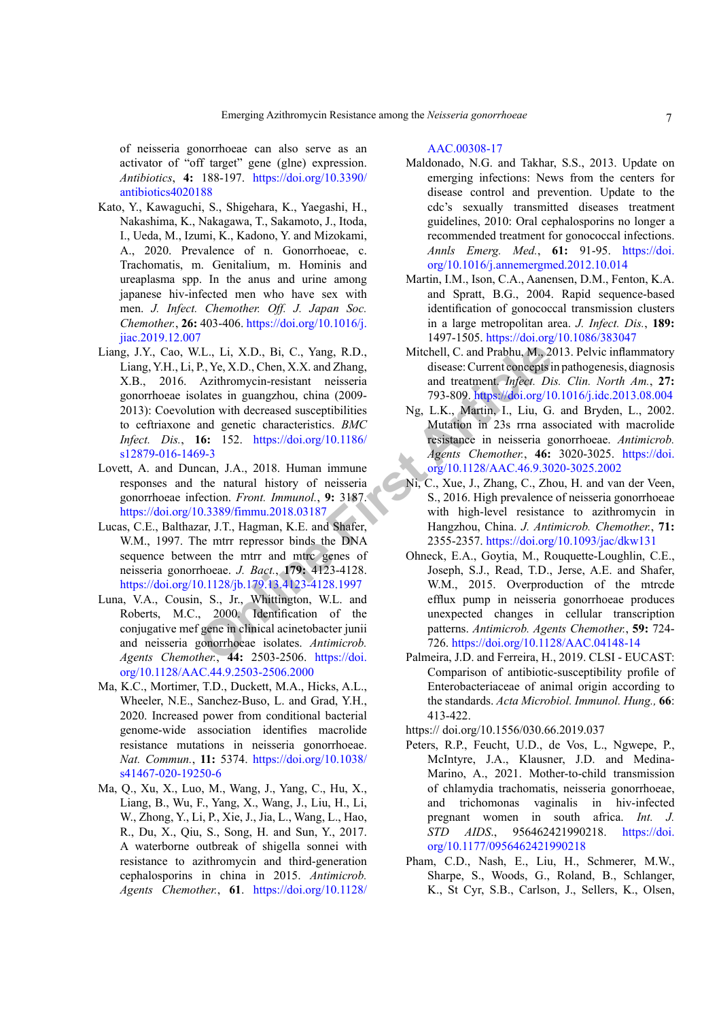of neisseria gonorrhoeae can also serve as an activator of "off target" gene (glne) expression. *Antibiotics*, **4:** 188-197. [https://doi.org/10.3390/](https://doi.org/10.3390/antibiotics4020188) [antibiotics4020188](https://doi.org/10.3390/antibiotics4020188)

- Kato, Y., Kawaguchi, S., Shigehara, K., Yaegashi, H., Nakashima, K., Nakagawa, T., Sakamoto, J., Itoda, I., Ueda, M., Izumi, K., Kadono, Y. and Mizokami, A., 2020. Prevalence of n. Gonorrhoeae, c. Trachomatis, m. Genitalium, m. Hominis and ureaplasma spp. In the anus and urine among japanese hiv-infected men who have sex with men. *J. Infect. Chemother. Off. J. Japan Soc. Chemother.*, **26:** 403-406. [https://doi.org/10.1016/j.](https://doi.org/10.1016/j.jiac.2019.12.007) [jiac.2019.12.007](https://doi.org/10.1016/j.jiac.2019.12.007)
- V.L., Li, X.D., Bi, C., Yang, R.D.,<br>
P., Ye, X.D., Chen, X.X. and Zhang,<br>
Daltest in guanglou, china (2009-<br>
Internation with decreased susceptibilities<br>
in and greatic characteristics. *BMC*<br>
Internation with decreased su Liang, J.Y., Cao, W.L., Li, X.D., Bi, C., Yang, R.D., Liang, Y.H., Li, P., Ye, X.D., Chen, X.X. and Zhang, X.B., 2016. Azithromycin-resistant neisseria gonorrhoeae isolates in guangzhou, china (2009- 2013): Coevolution with decreased susceptibilities to ceftriaxone and genetic characteristics. *BMC Infect. Dis.*, **16:** 152. https://doi.org/10.1186/ [s12879-016-1469-3](https://doi.org/10.1186/s12879-016-1469-3)
- Lovett, A. and Duncan, J.A., 2018. Human immune responses and the natural history of neisseria gonorrhoeae infection. *Front. Immunol.*, **9:** 3187. <https://doi.org/10.3389/fimmu.2018.03187>
- Lucas, C.E., Balthazar, J.T., Hagman, K.E. and Shafer, W.M., 1997. The mtrr repressor binds the DNA sequence between the mtrr and mtrc genes of neisseria gonorrhoeae. *J. Bact.*, **179:** 4123-4128. <https://doi.org/10.1128/jb.179.13.4123-4128.1997>
- Luna, V.A., Cousin, S., Jr., Whittington, W.L. and Roberts, M.C., 2000. Identification of the conjugative mef gene in clinical acinetobacter junii and neisseria gonorrhoeae isolates. *Antimicrob. Agents Chemother.*, **44:** 2503-2506. https://doi. [org/10.1128/AAC.44.9.2503-2506.2000](https://doi.org/10.1128/AAC.44.9.2503-2506.2000)
- Ma, K.C., Mortimer, T.D., Duckett, M.A., Hicks, A.L., Wheeler, N.E., Sanchez-Buso, L. and Grad, Y.H., 2020. Increased power from conditional bacterial genome-wide association identifies macrolide resistance mutations in neisseria gonorrhoeae. *Nat. Commun.*, **11:** 5374. [https://doi.org/10.1038/](https://doi.org/10.1038/s41467-020-19250-6) [s41467-020-19250-6](https://doi.org/10.1038/s41467-020-19250-6)
- Ma, Q., Xu, X., Luo, M., Wang, J., Yang, C., Hu, X., Liang, B., Wu, F., Yang, X., Wang, J., Liu, H., Li, W., Zhong, Y., Li, P., Xie, J., Jia, L., Wang, L., Hao, R., Du, X., Qiu, S., Song, H. and Sun, Y., 2017. A waterborne outbreak of shigella sonnei with resistance to azithromycin and third-generation cephalosporins in china in 2015. *Antimicrob. Agents Chemother.*, **61**. [https://doi.org/10.1128/](https://doi.org/10.1128/AAC.00308-17)

#### [AAC.00308-17](https://doi.org/10.1128/AAC.00308-17)

- Maldonado, N.G. and Takhar, S.S., 2013. Update on emerging infections: News from the centers for disease control and prevention. Update to the cdc's sexually transmitted diseases treatment guidelines, 2010: Oral cephalosporins no longer a recommended treatment for gonococcal infections. *Annls Emerg. Med.*, **61:** 91-95. [https://doi.](https://doi.org/10.1016/j.annemergmed.2012.10.014) [org/10.1016/j.annemergmed.2012.10.014](https://doi.org/10.1016/j.annemergmed.2012.10.014)
- Martin, I.M., Ison, C.A., Aanensen, D.M., Fenton, K.A. and Spratt, B.G., 2004. Rapid sequence-based identification of gonococcal transmission clusters in a large metropolitan area. *J. Infect. Dis.*, **189:**  1497-1505.<https://doi.org/10.1086/383047>
- Mitchell, C. and Prabhu, M., 2013. Pelvic inflammatory disease: Current concepts in pathogenesis, diagnosis and treatment. *Infect. Dis. Clin. North Am.*, **27:**  793-809.<https://doi.org/10.1016/j.idc.2013.08.004>
- Ng, L.K., Martin, I., Liu, G. and Bryden, L., 2002. Mutation in 23s rrna associated with macrolide resistance in neisseria gonorrhoeae. *Antimicrob. Agents Chemother.*, **46:** 3020-3025. [https://doi.](https://doi.org/10.1128/AAC.46.9.3020-3025.2002) [org/10.1128/AAC.46.9.3020-3025.2002](https://doi.org/10.1128/AAC.46.9.3020-3025.2002)
- Ni, C., Xue, J., Zhang, C., Zhou, H. and van der Veen, S., 2016. High prevalence of neisseria gonorrhoeae with high-level resistance to azithromycin in Hangzhou, China. *J. Antimicrob. Chemother.*, **71:**  2355-2357.<https://doi.org/10.1093/jac/dkw131>
- Ohneck, E.A., Goytia, M., Rouquette-Loughlin, C.E., Joseph, S.J., Read, T.D., Jerse, A.E. and Shafer, W.M., 2015. Overproduction of the mtrcde efflux pump in neisseria gonorrhoeae produces unexpected changes in cellular transcription patterns. *Antimicrob. Agents Chemother.*, **59:** 724- 726.<https://doi.org/10.1128/AAC.04148-14>
- Palmeira, J.D. and Ferreira, H., 2019. CLSI EUCAST: Comparison of antibiotic-susceptibility profile of Enterobacteriaceae of animal origin according to the standards. *Acta Microbiol. Immunol. Hung.,* **66**: 413-422.

https:// doi.org/10.1556/030.66.2019.037

- Peters, R.P., Feucht, U.D., de Vos, L., Ngwepe, P., McIntyre, J.A., Klausner, J.D. and Medina-Marino, A., 2021. Mother-to-child transmission of chlamydia trachomatis, neisseria gonorrhoeae, and trichomonas vaginalis in hiv-infected pregnant women in south africa. *Int. J. STD AIDS*., 956462421990218. [https://doi.](https://doi.org/10.1177/0956462421990218) [org/10.1177/0956462421990218](https://doi.org/10.1177/0956462421990218)
- Pham, C.D., Nash, E., Liu, H., Schmerer, M.W., Sharpe, S., Woods, G., Roland, B., Schlanger, K., St Cyr, S.B., Carlson, J., Sellers, K., Olsen,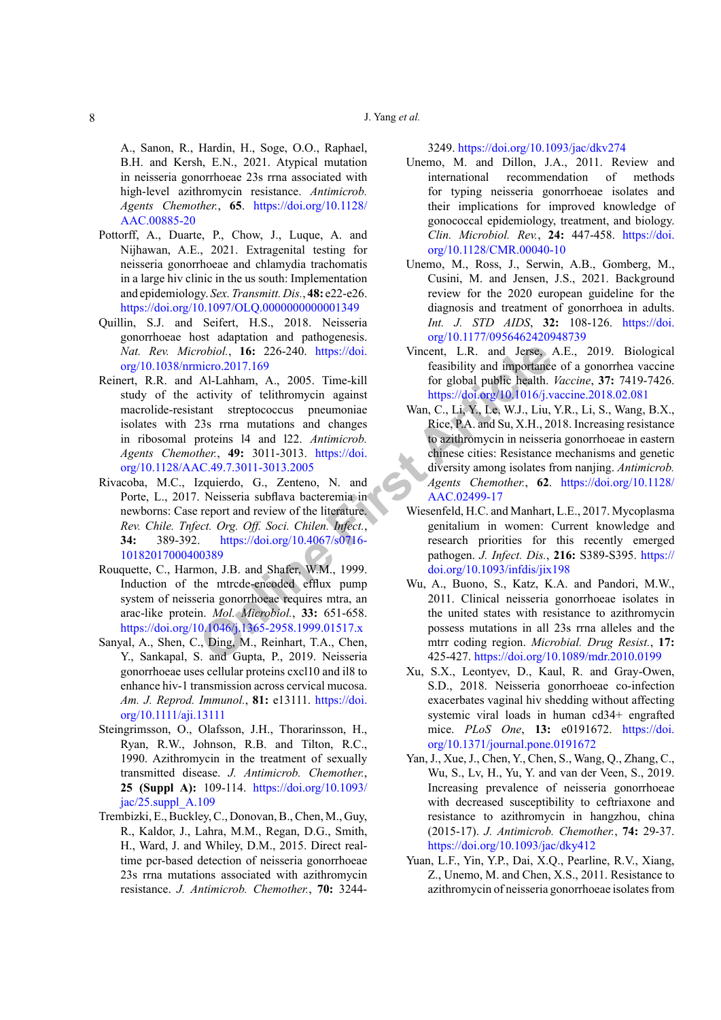## J. Yang *et al.*

A., Sanon, R., Hardin, H., Soge, O.O., Raphael, B.H. and Kersh, E.N., 2021. Atypical mutation in neisseria gonorrhoeae 23s rrna associated with high-level azithromycin resistance. *Antimicrob. Agents Chemother.*, **65**. [https://doi.org/10.1128/](https://doi.org/10.1128/AAC.00885-20) [AAC.00885-20](https://doi.org/10.1128/AAC.00885-20)

- Pottorff, A., Duarte, P., Chow, J., Luque, A. and Nijhawan, A.E., 2021. Extragenital testing for neisseria gonorrhoeae and chlamydia trachomatis in a large hiv clinic in the us south: Implementation and epidemiology. *Sex. Transmitt. Dis.*, **48:** e22-e26. <https://doi.org/10.1097/OLQ.0000000000001349>
- Quillin, S.J. and Seifert, H.S., 2018. Neisseria gonorrhoeae host adaptation and pathogenesis. *Nat. Rev. Microbiol.*, **16:** 226-240. https://doi. [org/10.1038/nrmicro.2017.169](https://doi.org/10.1038/nrmicro.2017.169)
- *CA***). CA) EXECT**<br> **CALCONGTARY CALCONGTE CONFIGUATION CALCONGTE CONFIGUATION CALCONGTE CONFIGUATION**<br> **CALCONGTE CONFIGUATION**<br> **CALCONGTE CONFIGUATION**<br> **CALCONGTE CONFIGUATION**<br> **CAP FIGUATION CALCONGTE** Reinert, R.R. and Al-Lahham, A., 2005. Time-kill study of the activity of telithromycin against macrolide-resistant streptococcus pneumoniae isolates with 23s rrna mutations and changes in ribosomal proteins l4 and l22. *Antimicrob. Agents Chemother.*, **49:** 3011-3013. https://doi. [org/10.1128/AAC.49.7.3011-3013.2005](https://doi.org/10.1128/AAC.49.7.3011-3013.2005)
- Rivacoba, M.C., Izquierdo, G., Zenteno, N. and Porte, L., 2017. Neisseria subflava bacteremia in newborns: Case report and review of the literature. *Rev. Chile. Tnfect. Org. Off. Soci. Chilen. Infect.*, **34:** 389-392. https://doi.org/10.4067/s0716- [10182017000400389](https://doi.org/10.4067/s0716-10182017000400389)
- Rouquette, C., Harmon, J.B. and Shafer, W.M., 1999. Induction of the mtrcde-encoded efflux pump system of neisseria gonorrhoeae requires mtra, an arac-like protein. *Mol. Microbiol.*, **33:** 651-658. <https://doi.org/10.1046/j.1365-2958.1999.01517.x>
- Sanyal, A., Shen, C., Ding, M., Reinhart, T.A., Chen, Y., Sankapal, S. and Gupta, P., 2019. Neisseria gonorrhoeae uses cellular proteins cxcl10 and il8 to enhance hiv-1 transmission across cervical mucosa. *Am. J. Reprod. Immunol.*, **81:** e13111. [https://doi.](https://doi.org/10.1111/aji.13111) [org/10.1111/aji.13111](https://doi.org/10.1111/aji.13111)
- Steingrimsson, O., Olafsson, J.H., Thorarinsson, H., Ryan, R.W., Johnson, R.B. and Tilton, R.C., 1990. Azithromycin in the treatment of sexually transmitted disease. *J. Antimicrob. Chemother.*, **25 (Suppl A):** 109-114. [https://doi.org/10.1093/](https://doi.org/10.1093/jac/25.suppl_A.109) [jac/25.suppl\\_A.109](https://doi.org/10.1093/jac/25.suppl_A.109)
- Trembizki, E., Buckley, C., Donovan, B., Chen, M., Guy, R., Kaldor, J., Lahra, M.M., Regan, D.G., Smith, H., Ward, J. and Whiley, D.M., 2015. Direct realtime pcr-based detection of neisseria gonorrhoeae 23s rrna mutations associated with azithromycin resistance. *J. Antimicrob. Chemother.*, **70:** 3244-

3249.<https://doi.org/10.1093/jac/dkv274>

- Unemo, M. and Dillon, J.A., 2011. Review and international recommendation of methods for typing neisseria gonorrhoeae isolates and their implications for improved knowledge of gonococcal epidemiology, treatment, and biology. *Clin. Microbiol. Rev.*, **24:** 447-458. [https://doi.](https://doi.org/10.1128/CMR.00040-10) [org/10.1128/CMR.00040-10](https://doi.org/10.1128/CMR.00040-10)
- Unemo, M., Ross, J., Serwin, A.B., Gomberg, M., Cusini, M. and Jensen, J.S., 2021. Background review for the 2020 european guideline for the diagnosis and treatment of gonorrhoea in adults. *Int. J. STD AIDS*, **32:** 108-126. [https://doi.](https://doi.org/10.1177/0956462420948739) [org/10.1177/0956462420948739](https://doi.org/10.1177/0956462420948739)
- Vincent, L.R. and Jerse, A.E., 2019. Biological feasibility and importance of a gonorrhea vaccine for global public health. *Vaccine*, **37:** 7419-7426. <https://doi.org/10.1016/j.vaccine.2018.02.081>
- Wan, C., Li, Y., Le, W.J., Liu, Y.R., Li, S., Wang, B.X., Rice, P.A. and Su, X.H., 2018. Increasing resistance to azithromycin in neisseria gonorrhoeae in eastern chinese cities: Resistance mechanisms and genetic diversity among isolates from nanjing. *Antimicrob. Agents Chemother.*, **62**. [https://doi.org/10.1128/](https://doi.org/10.1128/AAC.02499-17) AAC.02499-17
- Wiesenfeld, H.C. and Manhart, L.E., 2017. Mycoplasma genitalium in women: Current knowledge and research priorities for this recently emerged pathogen. *J. Infect. Dis.*, **216:** S389-S395. [https://](https://doi.org/10.1093/infdis/jix198) doi.org/10.1093/infdis/jix198
- Wu, A., Buono, S., Katz, K.A. and Pandori, M.W., 2011. Clinical neisseria gonorrhoeae isolates in the united states with resistance to azithromycin possess mutations in all 23s rrna alleles and the mtrr coding region. *Microbial. Drug Resist.*, **17:**  425-427. <https://doi.org/10.1089/mdr.2010.0199>
- Xu, S.X., Leontyev, D., Kaul, R. and Gray-Owen, S.D., 2018. Neisseria gonorrhoeae co-infection exacerbates vaginal hiv shedding without affecting systemic viral loads in human cd34+ engrafted mice. *PLoS One*, **13:** e0191672. [https://doi.](https://doi.org/10.1371/journal.pone.0191672) [org/10.1371/journal.pone.0191672](https://doi.org/10.1371/journal.pone.0191672)
- Yan, J., Xue, J., Chen, Y., Chen, S., Wang, Q., Zhang, C., Wu, S., Lv, H., Yu, Y. and van der Veen, S., 2019. Increasing prevalence of neisseria gonorrhoeae with decreased susceptibility to ceftriaxone and resistance to azithromycin in hangzhou, china (2015-17). *J. Antimicrob. Chemother.*, **74:** 29-37. <https://doi.org/10.1093/jac/dky412>
- Yuan, L.F., Yin, Y.P., Dai, X.Q., Pearline, R.V., Xiang, Z., Unemo, M. and Chen, X.S., 2011. Resistance to azithromycin of neisseria gonorrhoeae isolates from